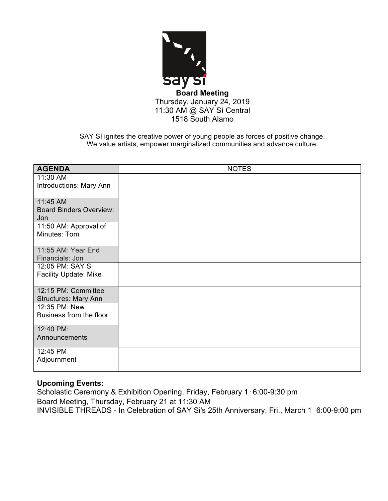

SAY Sí ignites the creative power of young people as forces of positive change. We value artists, empower marginalized communities and advance culture.

| <b>AGENDA</b>                                | <b>NOTES</b> |
|----------------------------------------------|--------------|
| 11:30 AM                                     |              |
| Introductions: Mary Ann                      |              |
|                                              |              |
| 11:45 AM                                     |              |
| <b>Board Binders Overview:</b>               |              |
| Jon                                          |              |
| 11:50 AM: Approval of                        |              |
| Minutes: Tom                                 |              |
|                                              |              |
| 11:55 AM: Year End                           |              |
| Financials: Jon                              |              |
| 12:05 PM: SAY Si                             |              |
| Facility Update: Mike                        |              |
|                                              |              |
| 12:15 PM: Committee                          |              |
| <b>Structures: Mary Ann</b><br>12:35 PM: New |              |
| Business from the floor                      |              |
|                                              |              |
| 12:40 PM:                                    |              |
| Announcements                                |              |
|                                              |              |
| 12:45 PM                                     |              |
| Adjournment                                  |              |
|                                              |              |

# **Upcoming Events:**

Scholastic Ceremony & Exhibition Opening, Friday, February 1⋅6:00-9:30 pm Board Meeting, Thursday, February 21 at 11:30 AM INVISIBLE THREADS - In Celebration of SAY Si's 25th Anniversary, Fri., March 1⋅6:00-9:00 pm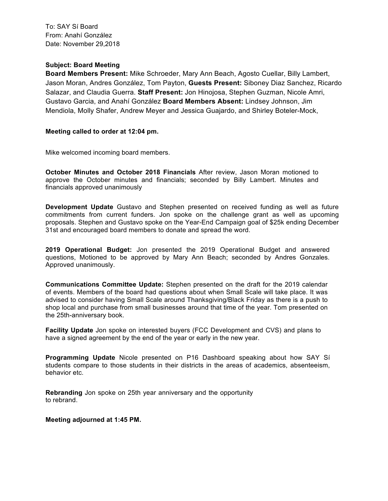To: SAY Sí Board From: Anahí González Date: November 29,2018

### **Subject: Board Meeting**

**Board Members Present:** Mike Schroeder, Mary Ann Beach, Agosto Cuellar, Billy Lambert, Jason Moran, Andres González, Tom Payton, **Guests Present:** Siboney Diaz Sanchez, Ricardo Salazar, and Claudia Guerra. **Staff Present:** Jon Hinojosa, Stephen Guzman, Nicole Amri, Gustavo Garcia, and Anahí González **Board Members Absent:** Lindsey Johnson, Jim Mendiola, Molly Shafer, Andrew Meyer and Jessica Guajardo, and Shirley Boteler-Mock,

#### **Meeting called to order at 12:04 pm.**

Mike welcomed incoming board members.

**October Minutes and October 2018 Financials** After review, Jason Moran motioned to approve the October minutes and financials; seconded by Billy Lambert. Minutes and financials approved unanimously

**Development Update** Gustavo and Stephen presented on received funding as well as future commitments from current funders. Jon spoke on the challenge grant as well as upcoming proposals. Stephen and Gustavo spoke on the Year-End Campaign goal of \$25k ending December 31st and encouraged board members to donate and spread the word.

**2019 Operational Budget:** Jon presented the 2019 Operational Budget and answered questions, Motioned to be approved by Mary Ann Beach; seconded by Andres Gonzales. Approved unanimously.

**Communications Committee Update:** Stephen presented on the draft for the 2019 calendar of events. Members of the board had questions about when Small Scale will take place. It was advised to consider having Small Scale around Thanksgiving/Black Friday as there is a push to shop local and purchase from small businesses around that time of the year. Tom presented on the 25th-anniversary book.

**Facility Update** Jon spoke on interested buyers (FCC Development and CVS) and plans to have a signed agreement by the end of the year or early in the new year.

**Programming Update** Nicole presented on P16 Dashboard speaking about how SAY Sí students compare to those students in their districts in the areas of academics, absenteeism, behavior etc.

**Rebranding** Jon spoke on 25th year anniversary and the opportunity to rebrand.

#### **Meeting adjourned at 1:45 PM.**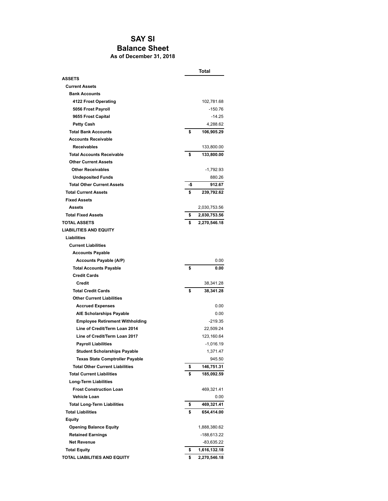## **SAY SI Balance Sheet As of December 31, 2018**

|                                                                                  | Total    |                      |  |
|----------------------------------------------------------------------------------|----------|----------------------|--|
| <b>ASSETS</b>                                                                    |          |                      |  |
| <b>Current Assets</b>                                                            |          |                      |  |
| <b>Bank Accounts</b>                                                             |          |                      |  |
| 4122 Frost Operating                                                             |          | 102,781.68           |  |
| 5056 Frost Payroll                                                               |          | -150.76              |  |
| 9655 Frost Capital                                                               |          | $-14.25$             |  |
| <b>Petty Cash</b>                                                                |          | 4,288.62             |  |
| <b>Total Bank Accounts</b>                                                       | \$       | 106,905.29           |  |
| <b>Accounts Receivable</b>                                                       |          |                      |  |
| <b>Receivables</b>                                                               |          | 133,800.00           |  |
| <b>Total Accounts Receivable</b>                                                 | \$       | 133,800.00           |  |
| <b>Other Current Assets</b>                                                      |          |                      |  |
| <b>Other Receivables</b>                                                         |          | -1,792.93            |  |
| <b>Undeposited Funds</b>                                                         |          | 880.26               |  |
| <b>Total Other Current Assets</b>                                                | -\$      | 912.67               |  |
| <b>Total Current Assets</b>                                                      | \$       | 239,792.62           |  |
| <b>Fixed Assets</b>                                                              |          |                      |  |
| Assets                                                                           |          | 2,030,753.56         |  |
| <b>Total Fixed Assets</b>                                                        | \$       | 2,030,753.56         |  |
| <b>TOTAL ASSETS</b>                                                              | \$       | 2,270,546.18         |  |
| <b>LIABILITIES AND EQUITY</b>                                                    |          |                      |  |
| Liabilities                                                                      |          |                      |  |
| <b>Current Liabilities</b>                                                       |          |                      |  |
| <b>Accounts Payable</b>                                                          |          |                      |  |
| Accounts Payable (A/P)                                                           |          | 0.00                 |  |
| <b>Total Accounts Payable</b>                                                    | \$       | 0.00                 |  |
| <b>Credit Cards</b>                                                              |          |                      |  |
| <b>Credit</b>                                                                    |          | 38,341.28            |  |
| <b>Total Credit Cards</b>                                                        | \$       | 38,341.28            |  |
| <b>Other Current Liabilities</b>                                                 |          |                      |  |
| <b>Accrued Expenses</b>                                                          |          | 0.00                 |  |
| <b>AIE Scholarships Payable</b>                                                  |          | 0.00                 |  |
| <b>Employee Retirement Withholding</b>                                           |          | $-219.35$            |  |
| Line of Credit/Term Loan 2014                                                    |          | 22,509.24            |  |
| Line of Credit/Term Loan 2017                                                    |          | 123,160.64           |  |
|                                                                                  |          | $-1,016.19$          |  |
| <b>Payroll Liabilities</b>                                                       |          | 1,371.47             |  |
| <b>Student Scholarships Payable</b>                                              |          |                      |  |
| <b>Texas State Comptroller Payable</b><br><b>Total Other Current Liabilities</b> |          | 945.50<br>146,751.31 |  |
| <b>Total Current Liabilities</b>                                                 | \$<br>\$ | 185,092.59           |  |
|                                                                                  |          |                      |  |
| <b>Long-Term Liabilities</b><br><b>Frost Construction Loan</b>                   |          |                      |  |
|                                                                                  |          | 469,321.41           |  |
| <b>Vehicle Loan</b>                                                              |          | 0.00<br>469,321.41   |  |
| <b>Total Long-Term Liabilities</b><br><b>Total Liabilities</b>                   | \$       |                      |  |
|                                                                                  | \$       | 654,414.00           |  |
| Equity                                                                           |          |                      |  |
| <b>Opening Balance Equity</b>                                                    |          | 1,888,380.62         |  |
| <b>Retained Earnings</b>                                                         |          | -188,613.22          |  |
| <b>Net Revenue</b>                                                               |          | -83,635.22           |  |
| <b>Total Equity</b>                                                              | \$       | 1,616,132.18         |  |
| TOTAL LIABILITIES AND EQUITY                                                     | \$       | 2,270,546.18         |  |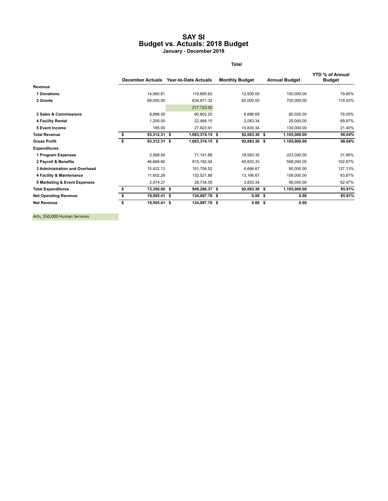#### **SAY SI Budget vs. Actuals: 2018 Budget January - December 2018**

**Total**

|                                      |    | <b>December Actuals</b> | <b>Year-to-Date Actuals</b> | <b>Monthly Budget</b> |                   | <b>Annual Budget</b> | <b>YTD % of Annual</b><br><b>Budget</b> |
|--------------------------------------|----|-------------------------|-----------------------------|-----------------------|-------------------|----------------------|-----------------------------------------|
| Revenue                              |    |                         |                             |                       |                   |                      |                                         |
| 1 Donations                          |    | 14,990.81               | 119,685.62                  |                       | 12,500.00         | 150,000.00           | 79.80%                                  |
| 2 Grants                             |    | 68,000.00               | 634,871.32                  |                       | 60,000.00         | 720,000.00           | 118.42%                                 |
|                                      |    |                         | 217,723.00                  |                       |                   |                      |                                         |
| 3 Sales & Commissions                |    | 8,886.50                | 60,802.20                   |                       | 6,666.68          | 80,000.00            | 76.00%                                  |
| 4 Facility Rental                    |    | 1,250.00                | 22,468.10                   |                       | 2,083.34          | 25,000.00            | 89.87%                                  |
| 5 Event Income                       |    | 185.00                  | 27,823.91                   |                       | 10,833.34         | 130,000.00           | 21.40%                                  |
| <b>Total Revenue</b>                 | s  | 93,312.31 \$            | 1,083,374.15 \$             |                       | 92,083.36 \$      | 1,105,000.00         | 98.04%                                  |
| <b>Gross Profit</b>                  |    | 93,312.31 \$            | 1,083,374.15 \$             |                       | 92,083.36 \$      | 1,105,000.00         | 98.04%                                  |
| <b>Expenditures</b>                  |    |                         |                             |                       |                   |                      |                                         |
| 1 Program Expenses                   |    | 2,568.64                | 71,141.88                   |                       | 18,583.35         | 223,000.00           | 31.90%                                  |
| 2 Payroll & Benefits                 |    | 46,689.60               | 615,182.04                  |                       | 49,833.33         | 598,000.00           | 102.87%                                 |
| <b>3 Administration and Overhead</b> |    | 10,422.13               | 101,706.52                  |                       | 6,666.67          | 80,000.00            | 127.13%                                 |
| 4 Facility & Maintenance             |    | 11,602.26               | 132,521.88                  |                       | 13,166.67         | 158,000.00           | 83.87%                                  |
| 5 Marketing & Event Expenses         |    | 2,074.27                | 28,734.05                   |                       | 3,833.34          | 46,000.00            | 62.47%                                  |
| <b>Total Expenditures</b>            |    | 73,356.90 \$            | 949,286.37 \$               |                       | 92,083.36 \$      | 1,105,000.00         | 85.91%                                  |
| <b>Net Operating Revenue</b>         | \$ | 19,955.41 \$            | 134,087.78 \$               |                       | 0.00 <sup>5</sup> | 0.00                 | 85.91%                                  |
| <b>Net Revenue</b>                   | \$ | 19,955.41 \$            | 134,087.78 \$               |                       | 0.00 <sup>5</sup> | 0.00                 |                                         |

Arts, \$50,000 Human Services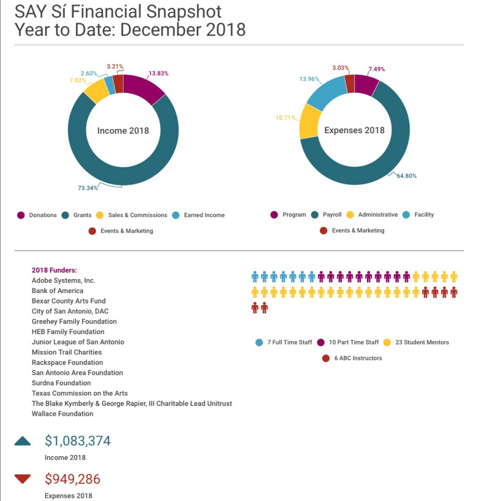# **SAY Sí Financial Snapshot** Year to Date: December 2018



# 2018 Funders:

Adobe Systems, Inc. **Bank of America Bexar County Arts Fund** City of San Antonio, DAC **Greehey Family Foundation HEB Family Foundation** Junior League of San Antonio **Mission Trail Charities Rackspace Foundation** San Antonio Area Foundation Surdna Foundation **Texas Commission on the Arts** The Blake Kymberly & George Rapier, III Charitable Lead Unitrust **Wallace Foundation** 





Income 2018